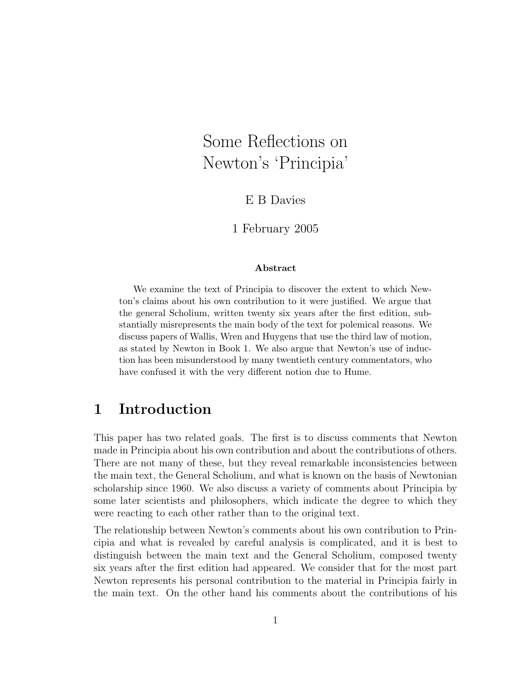# Some Reflections on Newton's 'Principia'

E B Davies

1 February 2005

#### ${\rm Abstract}$

We examine the text of Principia to discover the extent to which Newton's claims about his own contribution to it were justified. We argue that the general Scholium, written twenty six years after the first edition, substantially misrepresents the main body of the text for polemical reasons. We discuss papers of Wallis, Wren and Huygens that use the third law of motion, as stated by Newton in Book 1. We also argue that Newton's use of induction has been misunderstood by many twentieth century commentators, who have confused it with the very different notion due to Hume.

#### 1 Introduction

This paper has two related goals. The first is to discuss comments that Newton made in Principia about his own contribution and about the contributions of others. There are not many of these, but they reveal remarkable inconsistencies between the main text, the General Scholium, and what is known on the basis of Newtonian scholarship since 1960. We also discuss a variety of comments about Principia by some later scientists and philosophers, which indicate the degree to which they were reacting to each other rather than to the original text.

The relationship between Newton's comments about his own contribution to Principia and what is revealed by careful analysis is complicated, and it is best to distinguish between the main text and the General Scholium, composed twenty six years after the first edition had appeared. We consider that for the most part Newton represents his personal contribution to the material in Principia fairly in the main text. On the other hand his comments about the contributions of his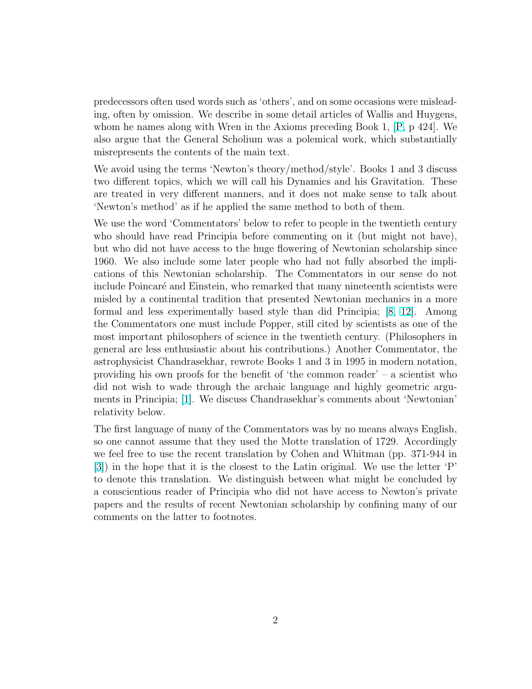predecessors often used words such as 'others', and on some occasions were misleading, often by omission. We describe in some detail articles of Wallis and Huygens, whom he names along with Wren in the Axioms preceding Book 1, [\[P,](#page-16-0) p 424]. We also argue that the General Scholium was a polemical work, which substantially misrepresents the contents of the main text.

We avoid using the terms 'Newton's theory/method/style'. Books 1 and 3 discuss two different topics, which we will call his Dynamics and his Gravitation. These are treated in very different manners, and it does not make sense to talk about 'Newton's method' as if he applied the same method to both of them.

We use the word 'Commentators' below to refer to people in the twentieth century who should have read Principia before commenting on it (but might not have), but who did not have access to the huge flowering of Newtonian scholarship since 1960. We also include some later people who had not fully absorbed the implications of this Newtonian scholarship. The Commentators in our sense do not include Poincaré and Einstein, who remarked that many nineteenth scientists were misled by a continental tradition that presented Newtonian mechanics in a more formal and less experimentally based style than did Principia; [\[8,](#page-15-0) [12\]](#page-16-0). Among the Commentators one must include Popper, still cited by scientists as one of the most important philosophers of science in the twentieth century. (Philosophers in general are less enthusiastic about his contributions.) Another Commentator, the astrophysicist Chandrasekhar, rewrote Books 1 and 3 in 1995 in modern notation, providing his own proofs for the benefit of 'the common reader' – a scientist who did not wish to wade through the archaic language and highly geometric arguments in Principia; [\[1\]](#page-15-0). We discuss Chandrasekhar's comments about 'Newtonian' relativity below.

The first language of many of the Commentators was by no means always English, so one cannot assume that they used the Motte translation of 1729. Accordingly we feel free to use the recent translation by Cohen and Whitman (pp. 371-944 in [\[3\]](#page-15-0)) in the hope that it is the closest to the Latin original. We use the letter 'P' to denote this translation. We distinguish between what might be concluded by a conscientious reader of Principia who did not have access to Newton's private papers and the results of recent Newtonian scholarship by confining many of our comments on the latter to footnotes.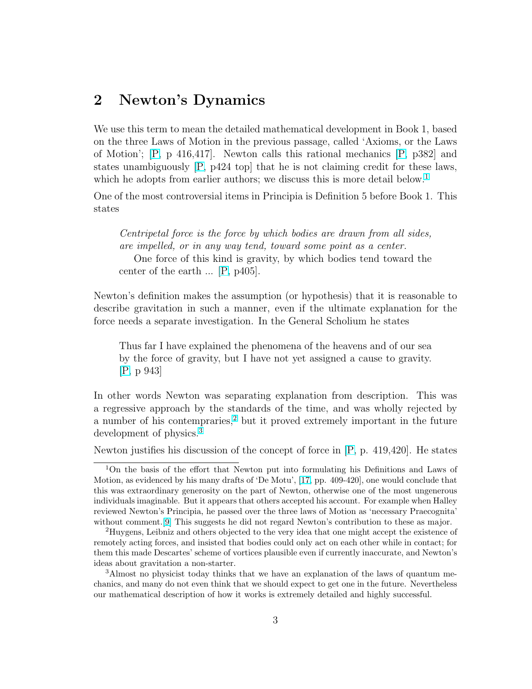#### 2 Newton's Dynamics

We use this term to mean the detailed mathematical development in Book 1, based on the three Laws of Motion in the previous passage, called 'Axioms, or the Laws of Motion'; [\[P,](#page-16-0) p 416,417]. Newton calls this rational mechanics [\[P,](#page-16-0) p382] and states unambiguously [\[P,](#page-16-0) p424 top] that he is not claiming credit for these laws, which he adopts from earlier authors; we discuss this is more detail below.<sup>1</sup>

One of the most controversial items in Principia is Definition 5 before Book 1. This states

Centripetal force is the force by which bodies are drawn from all sides, are impelled, or in any way tend, toward some point as a center. One force of this kind is gravity, by which bodies tend toward the center of the earth ... [\[P,](#page-16-0) p405].

Newton's definition makes the assumption (or hypothesis) that it is reasonable to describe gravitation in such a manner, even if the ultimate explanation for the force needs a separate investigation. In the General Scholium he states

Thus far I have explained the phenomena of the heavens and of our sea by the force of gravity, but I have not yet assigned a cause to gravity. [\[P,](#page-16-0) p 943]

In other words Newton was separating explanation from description. This was a regressive approach by the standards of the time, and was wholly rejected by a number of his contempraries,<sup>2</sup> but it proved extremely important in the future development of physics.<sup>3</sup>

Newton justifies his discussion of the concept of force in [\[P,](#page-16-0) p. 419,420]. He states

<sup>1</sup>On the basis of the effort that Newton put into formulating his Definitions and Laws of Motion, as evidenced by his many drafts of 'De Motu', [\[17,](#page-16-0) pp. 409-420], one would conclude that this was extraordinary generosity on the part of Newton, otherwise one of the most ungenerous individuals imaginable. But it appears that others accepted his account. For example when Halley reviewed Newton's Principia, he passed over the three laws of Motion as 'necessary Praecognita' without comment.[\[9\]](#page-15-0) This suggests he did not regard Newton's contribution to these as major.

<sup>2</sup>Huygens, Leibniz and others objected to the very idea that one might accept the existence of remotely acting forces, and insisted that bodies could only act on each other while in contact; for them this made Descartes' scheme of vortices plausible even if currently inaccurate, and Newton's ideas about gravitation a non-starter.

<sup>3</sup>Almost no physicist today thinks that we have an explanation of the laws of quantum mechanics, and many do not even think that we should expect to get one in the future. Nevertheless our mathematical description of how it works is extremely detailed and highly successful.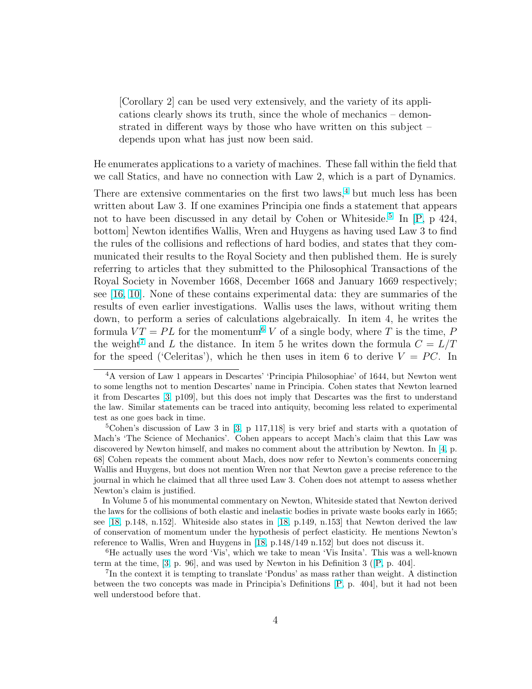[Corollary 2] can be used very extensively, and the variety of its applications clearly shows its truth, since the whole of mechanics – demonstrated in different ways by those who have written on this subject – depends upon what has just now been said.

He enumerates applications to a variety of machines. These fall within the field that we call Statics, and have no connection with Law 2, which is a part of Dynamics.

There are extensive commentaries on the first two laws, $4$  but much less has been written about Law 3. If one examines Principia one finds a statement that appears not to have been discussed in any detail by Cohen or Whiteside.<sup>5</sup> In [\[P,](#page-16-0) p 424, bottom] Newton identifies Wallis, Wren and Huygens as having used Law 3 to find the rules of the collisions and reflections of hard bodies, and states that they communicated their results to the Royal Society and then published them. He is surely referring to articles that they submitted to the Philosophical Transactions of the Royal Society in November 1668, December 1668 and January 1669 respectively; see [\[16,](#page-16-0) [10\]](#page-15-0). None of these contains experimental data: they are summaries of the results of even earlier investigations. Wallis uses the laws, without writing them down, to perform a series of calculations algebraically. In item 4, he writes the formula  $VT = PL$  for the momentum<sup>6</sup> V of a single body, where T is the time, P the weight<sup>7</sup> and L the distance. In item 5 he writes down the formula  $C = L/T$ for the speed ('Celeritas'), which he then uses in item 6 to derive  $V = PC$ . In

In Volume 5 of his monumental commentary on Newton, Whiteside stated that Newton derived the laws for the collisions of both elastic and inelastic bodies in private waste books early in 1665; see [\[18,](#page-16-0) p.148, n.152]. Whiteside also states in [\[18,](#page-16-0) p.149, n.153] that Newton derived the law of conservation of momentum under the hypothesis of perfect elasticity. He mentions Newton's reference to Wallis, Wren and Huygens in [\[18,](#page-16-0) p.148/149 n.152] but does not discuss it.

<sup>6</sup>He actually uses the word 'Vis', which we take to mean 'Vis Insita'. This was a well-known term at the time, [\[3,](#page-15-0) p. 96], and was used by Newton in his Definition 3 ([\[P,](#page-16-0) p. 404].

<sup>4</sup>A version of Law 1 appears in Descartes' 'Principia Philosophiae' of 1644, but Newton went to some lengths not to mention Descartes' name in Principia. Cohen states that Newton learned it from Descartes [\[3,](#page-15-0) p109], but this does not imply that Descartes was the first to understand the law. Similar statements can be traced into antiquity, becoming less related to experimental test as one goes back in time.

 $5$ Cohen's discussion of Law 3 in [\[3,](#page-15-0) p 117,118] is very brief and starts with a quotation of Mach's 'The Science of Mechanics'. Cohen appears to accept Mach's claim that this Law was discovered by Newton himself, and makes no comment about the attribution by Newton. In [\[4,](#page-15-0) p. 68] Cohen repeats the comment about Mach, does now refer to Newton's comments concerning Wallis and Huygens, but does not mention Wren nor that Newton gave a precise reference to the journal in which he claimed that all three used Law 3. Cohen does not attempt to assess whether Newton's claim is justified.

<sup>7</sup> In the context it is tempting to translate 'Pondus' as mass rather than weight. A distinction between the two concepts was made in Principia's Definitions [\[P,](#page-16-0) p. 404], but it had not been well understood before that.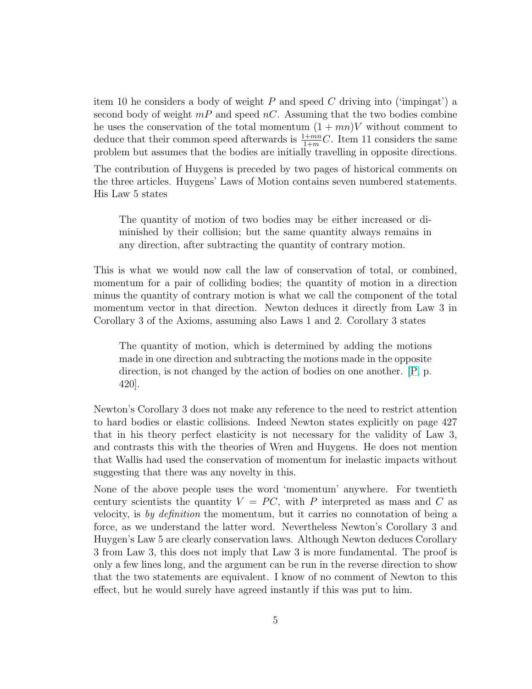item 10 he considers a body of weight P and speed C driving into ('impingat') a second body of weight  $mP$  and speed nC. Assuming that the two bodies combine he uses the conservation of the total momentum  $(1 + mn)V$  without comment to deduce that their common speed afterwards is  $\frac{1+m n}{1+m}C$ . Item 11 considers the same problem but assumes that the bodies are initially travelling in opposite directions.

The contribution of Huygens is preceded by two pages of historical comments on the three articles. Huygens' Laws of Motion contains seven numbered statements. His Law 5 states

The quantity of motion of two bodies may be either increased or diminished by their collision; but the same quantity always remains in any direction, after subtracting the quantity of contrary motion.

This is what we would now call the law of conservation of total, or combined, momentum for a pair of colliding bodies; the quantity of motion in a direction minus the quantity of contrary motion is what we call the component of the total momentum vector in that direction. Newton deduces it directly from Law 3 in Corollary 3 of the Axioms, assuming also Laws 1 and 2. Corollary 3 states

The quantity of motion, which is determined by adding the motions made in one direction and subtracting the motions made in the opposite direction, is not changed by the action of bodies on one another. [\[P,](#page-16-0) p. 420].

Newton's Corollary 3 does not make any reference to the need to restrict attention to hard bodies or elastic collisions. Indeed Newton states explicitly on page 427 that in his theory perfect elasticity is not necessary for the validity of Law 3, and contrasts this with the theories of Wren and Huygens. He does not mention that Wallis had used the conservation of momentum for inelastic impacts without suggesting that there was any novelty in this.

None of the above people uses the word 'momentum' anywhere. For twentieth century scientists the quantity  $V = PC$ , with P interpreted as mass and C as velocity, is by definition the momentum, but it carries no connotation of being a force, as we understand the latter word. Nevertheless Newton's Corollary 3 and Huygen's Law 5 are clearly conservation laws. Although Newton deduces Corollary 3 from Law 3, this does not imply that Law 3 is more fundamental. The proof is only a few lines long, and the argument can be run in the reverse direction to show that the two statements are equivalent. I know of no comment of Newton to this effect, but he would surely have agreed instantly if this was put to him.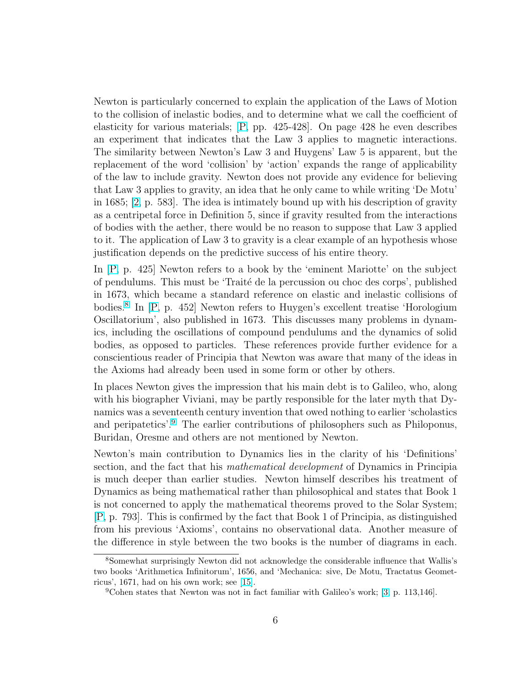Newton is particularly concerned to explain the application of the Laws of Motion to the collision of inelastic bodies, and to determine what we call the coefficient of elasticity for various materials; [\[P,](#page-16-0) pp. 425-428]. On page 428 he even describes an experiment that indicates that the Law 3 applies to magnetic interactions. The similarity between Newton's Law 3 and Huygens' Law 5 is apparent, but the replacement of the word 'collision' by 'action' expands the range of applicability of the law to include gravity. Newton does not provide any evidence for believing that Law 3 applies to gravity, an idea that he only came to while writing 'De Motu' in 1685; [\[2,](#page-15-0) p. 583]. The idea is intimately bound up with his description of gravity as a centripetal force in Definition 5, since if gravity resulted from the interactions of bodies with the aether, there would be no reason to suppose that Law 3 applied to it. The application of Law 3 to gravity is a clear example of an hypothesis whose justification depends on the predictive success of his entire theory.

In [\[P,](#page-16-0) p. 425] Newton refers to a book by the 'eminent Mariotte' on the subject of pendulums. This must be 'Traité de la percussion ou choc des corps', published in 1673, which became a standard reference on elastic and inelastic collisions of bodies.<sup>8</sup> In [\[P,](#page-16-0) p. 452] Newton refers to Huygen's excellent treatise 'Horologium Oscillatorium', also published in 1673. This discusses many problems in dynamics, including the oscillations of compound pendulums and the dynamics of solid bodies, as opposed to particles. These references provide further evidence for a conscientious reader of Principia that Newton was aware that many of the ideas in the Axioms had already been used in some form or other by others.

In places Newton gives the impression that his main debt is to Galileo, who, along with his biographer Viviani, may be partly responsible for the later myth that Dynamics was a seventeenth century invention that owed nothing to earlier 'scholastics and peripatetics'.<sup>9</sup> The earlier contributions of philosophers such as Philoponus, Buridan, Oresme and others are not mentioned by Newton.

Newton's main contribution to Dynamics lies in the clarity of his 'Definitions' section, and the fact that his mathematical development of Dynamics in Principia is much deeper than earlier studies. Newton himself describes his treatment of Dynamics as being mathematical rather than philosophical and states that Book 1 is not concerned to apply the mathematical theorems proved to the Solar System; [\[P,](#page-16-0) p. 793]. This is confirmed by the fact that Book 1 of Principia, as distinguished from his previous 'Axioms', contains no observational data. Another measure of the difference in style between the two books is the number of diagrams in each.

<sup>8</sup>Somewhat surprisingly Newton did not acknowledge the considerable influence that Wallis's two books 'Arithmetica Infinitorum', 1656, and 'Mechanica: sive, De Motu, Tractatus Geometricus', 1671, had on his own work; see [\[15\]](#page-16-0).

 $9^9$ Cohen states that Newton was not in fact familiar with Galileo's work; [\[3,](#page-15-0) p. 113,146].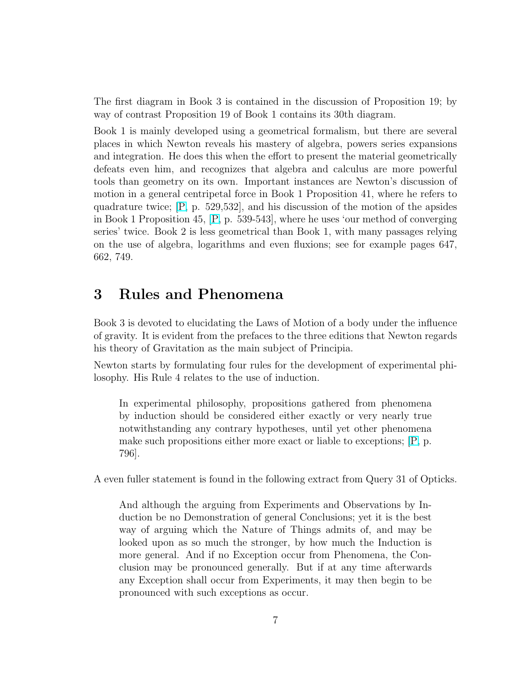The first diagram in Book 3 is contained in the discussion of Proposition 19; by way of contrast Proposition 19 of Book 1 contains its 30th diagram.

Book 1 is mainly developed using a geometrical formalism, but there are several places in which Newton reveals his mastery of algebra, powers series expansions and integration. He does this when the effort to present the material geometrically defeats even him, and recognizes that algebra and calculus are more powerful tools than geometry on its own. Important instances are Newton's discussion of motion in a general centripetal force in Book 1 Proposition 41, where he refers to quadrature twice; [\[P,](#page-16-0) p. 529,532], and his discussion of the motion of the apsides in Book 1 Proposition 45, [\[P,](#page-16-0) p. 539-543], where he uses 'our method of converging series' twice. Book 2 is less geometrical than Book 1, with many passages relying on the use of algebra, logarithms and even fluxions; see for example pages 647, 662, 749.

#### 3 Rules and Phenomena

Book 3 is devoted to elucidating the Laws of Motion of a body under the influence of gravity. It is evident from the prefaces to the three editions that Newton regards his theory of Gravitation as the main subject of Principia.

Newton starts by formulating four rules for the development of experimental philosophy. His Rule 4 relates to the use of induction.

In experimental philosophy, propositions gathered from phenomena by induction should be considered either exactly or very nearly true notwithstanding any contrary hypotheses, until yet other phenomena make such propositions either more exact or liable to exceptions; [\[P,](#page-16-0) p. 796].

A even fuller statement is found in the following extract from Query 31 of Opticks.

And although the arguing from Experiments and Observations by Induction be no Demonstration of general Conclusions; yet it is the best way of arguing which the Nature of Things admits of, and may be looked upon as so much the stronger, by how much the Induction is more general. And if no Exception occur from Phenomena, the Conclusion may be pronounced generally. But if at any time afterwards any Exception shall occur from Experiments, it may then begin to be pronounced with such exceptions as occur.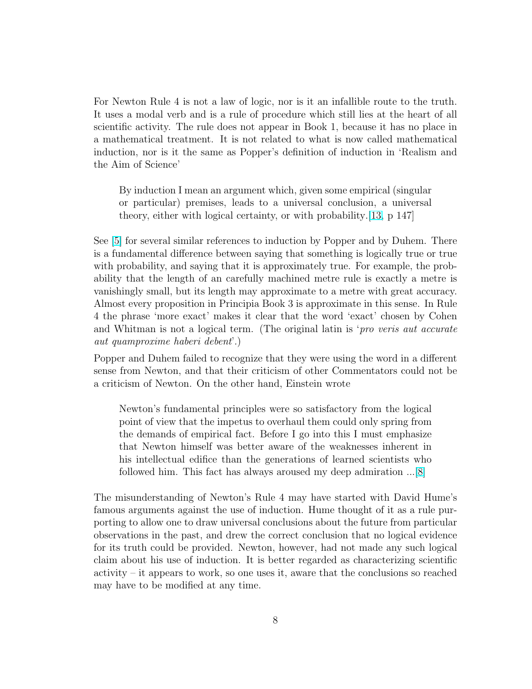For Newton Rule 4 is not a law of logic, nor is it an infallible route to the truth. It uses a modal verb and is a rule of procedure which still lies at the heart of all scientific activity. The rule does not appear in Book 1, because it has no place in a mathematical treatment. It is not related to what is now called mathematical induction, nor is it the same as Popper's definition of induction in 'Realism and the Aim of Science'

By induction I mean an argument which, given some empirical (singular or particular) premises, leads to a universal conclusion, a universal theory, either with logical certainty, or with probability.[\[13,](#page-16-0) p 147]

See [\[5\]](#page-15-0) for several similar references to induction by Popper and by Duhem. There is a fundamental difference between saying that something is logically true or true with probability, and saying that it is approximately true. For example, the probability that the length of an carefully machined metre rule is exactly a metre is vanishingly small, but its length may approximate to a metre with great accuracy. Almost every proposition in Principia Book 3 is approximate in this sense. In Rule 4 the phrase 'more exact' makes it clear that the word 'exact' chosen by Cohen and Whitman is not a logical term. (The original latin is '*pro veris aut accurate* aut quamproxime haberi debent'.)

Popper and Duhem failed to recognize that they were using the word in a different sense from Newton, and that their criticism of other Commentators could not be a criticism of Newton. On the other hand, Einstein wrote

Newton's fundamental principles were so satisfactory from the logical point of view that the impetus to overhaul them could only spring from the demands of empirical fact. Before I go into this I must emphasize that Newton himself was better aware of the weaknesses inherent in his intellectual edifice than the generations of learned scientists who followed him. This fact has always aroused my deep admiration ...[\[8\]](#page-15-0)

The misunderstanding of Newton's Rule 4 may have started with David Hume's famous arguments against the use of induction. Hume thought of it as a rule purporting to allow one to draw universal conclusions about the future from particular observations in the past, and drew the correct conclusion that no logical evidence for its truth could be provided. Newton, however, had not made any such logical claim about his use of induction. It is better regarded as characterizing scientific activity – it appears to work, so one uses it, aware that the conclusions so reached may have to be modified at any time.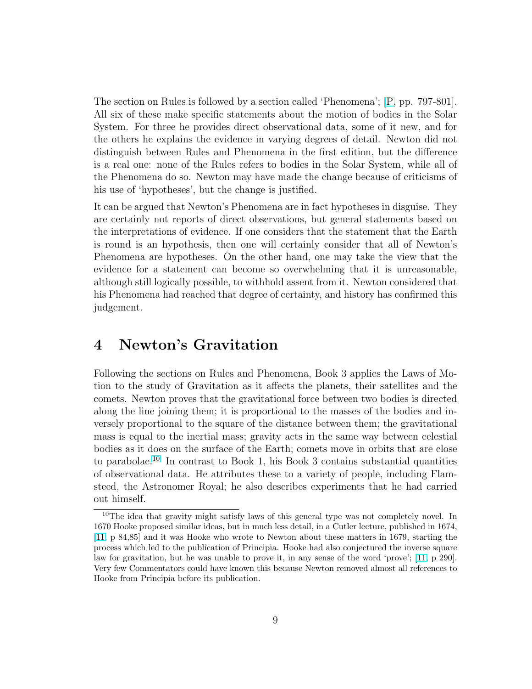The section on Rules is followed by a section called 'Phenomena'; [\[P,](#page-16-0) pp. 797-801]. All six of these make specific statements about the motion of bodies in the Solar System. For three he provides direct observational data, some of it new, and for the others he explains the evidence in varying degrees of detail. Newton did not distinguish between Rules and Phenomena in the first edition, but the difference is a real one: none of the Rules refers to bodies in the Solar System, while all of the Phenomena do so. Newton may have made the change because of criticisms of his use of 'hypotheses', but the change is justified.

It can be argued that Newton's Phenomena are in fact hypotheses in disguise. They are certainly not reports of direct observations, but general statements based on the interpretations of evidence. If one considers that the statement that the Earth is round is an hypothesis, then one will certainly consider that all of Newton's Phenomena are hypotheses. On the other hand, one may take the view that the evidence for a statement can become so overwhelming that it is unreasonable, although still logically possible, to withhold assent from it. Newton considered that his Phenomena had reached that degree of certainty, and history has confirmed this judgement.

#### 4 Newton's Gravitation

Following the sections on Rules and Phenomena, Book 3 applies the Laws of Motion to the study of Gravitation as it affects the planets, their satellites and the comets. Newton proves that the gravitational force between two bodies is directed along the line joining them; it is proportional to the masses of the bodies and inversely proportional to the square of the distance between them; the gravitational mass is equal to the inertial mass; gravity acts in the same way between celestial bodies as it does on the surface of the Earth; comets move in orbits that are close to parabolae.<sup>10</sup> In contrast to Book 1, his Book 3 contains substantial quantities of observational data. He attributes these to a variety of people, including Flamsteed, the Astronomer Royal; he also describes experiments that he had carried out himself.

<sup>&</sup>lt;sup>10</sup>The idea that gravity might satisfy laws of this general type was not completely novel. In 1670 Hooke proposed similar ideas, but in much less detail, in a Cutler lecture, published in 1674, [\[11,](#page-16-0) p 84,85] and it was Hooke who wrote to Newton about these matters in 1679, starting the process which led to the publication of Principia. Hooke had also conjectured the inverse square law for gravitation, but he was unable to prove it, in any sense of the word 'prove'; [\[11,](#page-16-0) p 290]. Very few Commentators could have known this because Newton removed almost all references to Hooke from Principia before its publication.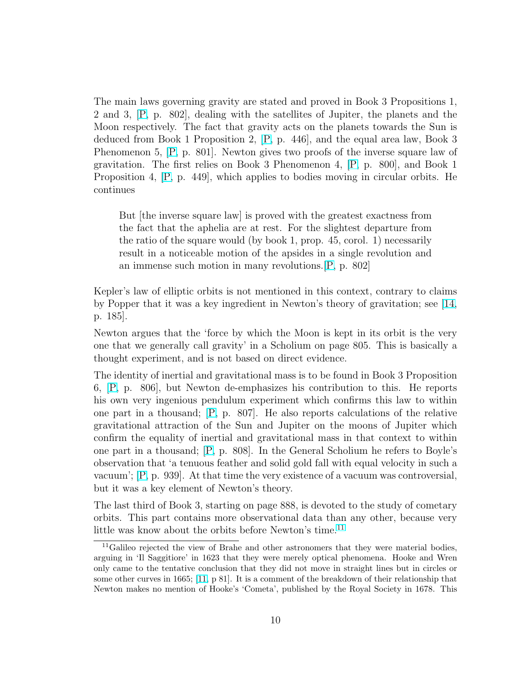The main laws governing gravity are stated and proved in Book 3 Propositions 1, 2 and 3, [\[P,](#page-16-0) p. 802], dealing with the satellites of Jupiter, the planets and the Moon respectively. The fact that gravity acts on the planets towards the Sun is deduced from Book 1 Proposition 2, [\[P,](#page-16-0) p. 446], and the equal area law, Book 3 Phenomenon 5, [\[P,](#page-16-0) p. 801]. Newton gives two proofs of the inverse square law of gravitation. The first relies on Book 3 Phenomenon 4, [\[P,](#page-16-0) p. 800], and Book 1 Proposition 4, [\[P,](#page-16-0) p. 449], which applies to bodies moving in circular orbits. He continues

But [the inverse square law] is proved with the greatest exactness from the fact that the aphelia are at rest. For the slightest departure from the ratio of the square would (by book 1, prop. 45, corol. 1) necessarily result in a noticeable motion of the apsides in a single revolution and an immense such motion in many revolutions.[\[P,](#page-16-0) p. 802]

Kepler's law of elliptic orbits is not mentioned in this context, contrary to claims by Popper that it was a key ingredient in Newton's theory of gravitation; see [\[14,](#page-16-0) p. 185].

Newton argues that the 'force by which the Moon is kept in its orbit is the very one that we generally call gravity' in a Scholium on page 805. This is basically a thought experiment, and is not based on direct evidence.

The identity of inertial and gravitational mass is to be found in Book 3 Proposition 6, [\[P,](#page-16-0) p. 806], but Newton de-emphasizes his contribution to this. He reports his own very ingenious pendulum experiment which confirms this law to within one part in a thousand; [\[P,](#page-16-0) p. 807]. He also reports calculations of the relative gravitational attraction of the Sun and Jupiter on the moons of Jupiter which confirm the equality of inertial and gravitational mass in that context to within one part in a thousand; [\[P,](#page-16-0) p. 808]. In the General Scholium he refers to Boyle's observation that 'a tenuous feather and solid gold fall with equal velocity in such a vacuum'; [\[P,](#page-16-0) p. 939]. At that time the very existence of a vacuum was controversial, but it was a key element of Newton's theory.

The last third of Book 3, starting on page 888, is devoted to the study of cometary orbits. This part contains more observational data than any other, because very little was know about the orbits before Newton's time.<sup>11</sup>

 $11$ Galileo rejected the view of Brahe and other astronomers that they were material bodies, arguing in 'Il Saggitiore' in 1623 that they were merely optical phenomena. Hooke and Wren only came to the tentative conclusion that they did not move in straight lines but in circles or some other curves in 1665; [\[11,](#page-16-0) p 81]. It is a comment of the breakdown of their relationship that Newton makes no mention of Hooke's 'Cometa', published by the Royal Society in 1678. This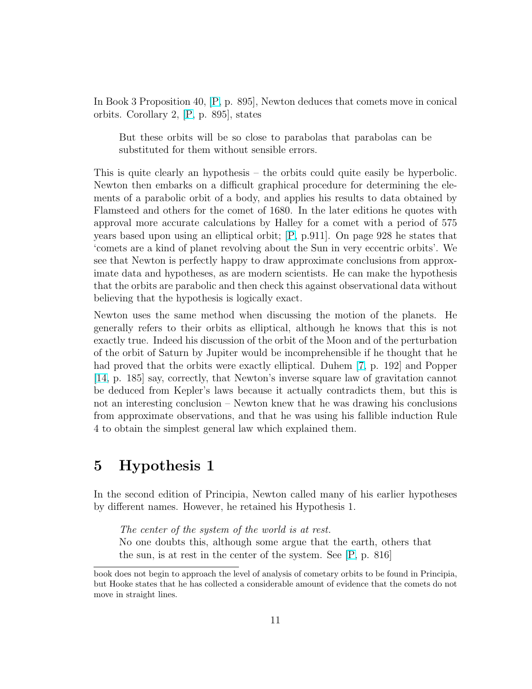In Book 3 Proposition 40, [\[P,](#page-16-0) p. 895], Newton deduces that comets move in conical orbits. Corollary 2, [\[P,](#page-16-0) p. 895], states

But these orbits will be so close to parabolas that parabolas can be substituted for them without sensible errors.

This is quite clearly an hypothesis – the orbits could quite easily be hyperbolic. Newton then embarks on a difficult graphical procedure for determining the elements of a parabolic orbit of a body, and applies his results to data obtained by Flamsteed and others for the comet of 1680. In the later editions he quotes with approval more accurate calculations by Halley for a comet with a period of 575 years based upon using an elliptical orbit; [\[P,](#page-16-0) p.911]. On page 928 he states that 'comets are a kind of planet revolving about the Sun in very eccentric orbits'. We see that Newton is perfectly happy to draw approximate conclusions from approximate data and hypotheses, as are modern scientists. He can make the hypothesis that the orbits are parabolic and then check this against observational data without believing that the hypothesis is logically exact.

Newton uses the same method when discussing the motion of the planets. He generally refers to their orbits as elliptical, although he knows that this is not exactly true. Indeed his discussion of the orbit of the Moon and of the perturbation of the orbit of Saturn by Jupiter would be incomprehensible if he thought that he had proved that the orbits were exactly elliptical. Duhem [\[7,](#page-15-0) p. 192] and Popper [\[14,](#page-16-0) p. 185] say, correctly, that Newton's inverse square law of gravitation cannot be deduced from Kepler's laws because it actually contradicts them, but this is not an interesting conclusion – Newton knew that he was drawing his conclusions from approximate observations, and that he was using his fallible induction Rule 4 to obtain the simplest general law which explained them.

### 5 Hypothesis 1

In the second edition of Principia, Newton called many of his earlier hypotheses by different names. However, he retained his Hypothesis 1.

The center of the system of the world is at rest. No one doubts this, although some argue that the earth, others that the sun, is at rest in the center of the system. See [\[P,](#page-16-0) p. 816]

book does not begin to approach the level of analysis of cometary orbits to be found in Principia, but Hooke states that he has collected a considerable amount of evidence that the comets do not move in straight lines.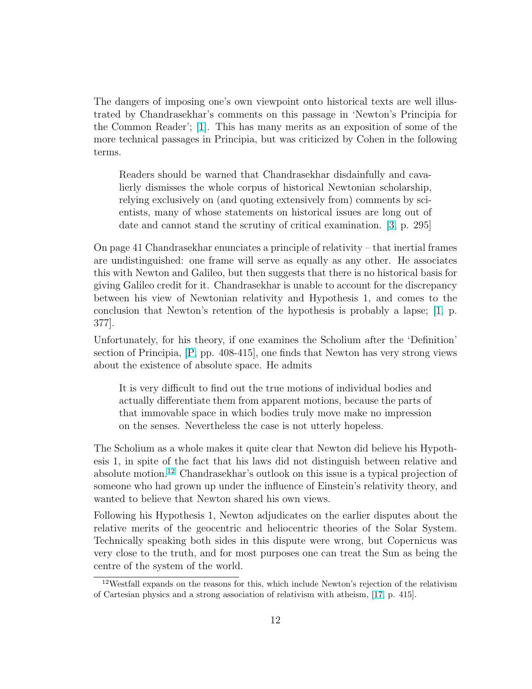The dangers of imposing one's own viewpoint onto historical texts are well illustrated by Chandrasekhar's comments on this passage in 'Newton's Principia for the Common Reader'; [\[1\]](#page-15-0). This has many merits as an exposition of some of the more technical passages in Principia, but was criticized by Cohen in the following terms.

Readers should be warned that Chandrasekhar disdainfully and cavalierly dismisses the whole corpus of historical Newtonian scholarship, relying exclusively on (and quoting extensively from) comments by scientists, many of whose statements on historical issues are long out of date and cannot stand the scrutiny of critical examination. [\[3,](#page-15-0) p. 295]

On page 41 Chandrasekhar enunciates a principle of relativity – that inertial frames are undistinguished: one frame will serve as equally as any other. He associates this with Newton and Galileo, but then suggests that there is no historical basis for giving Galileo credit for it. Chandrasekhar is unable to account for the discrepancy between his view of Newtonian relativity and Hypothesis 1, and comes to the conclusion that Newton's retention of the hypothesis is probably a lapse; [\[1,](#page-15-0) p. 377].

Unfortunately, for his theory, if one examines the Scholium after the 'Definition' section of Principia, [\[P,](#page-16-0) pp. 408-415], one finds that Newton has very strong views about the existence of absolute space. He admits

It is very difficult to find out the true motions of individual bodies and actually differentiate them from apparent motions, because the parts of that immovable space in which bodies truly move make no impression on the senses. Nevertheless the case is not utterly hopeless.

The Scholium as a whole makes it quite clear that Newton did believe his Hypothesis 1, in spite of the fact that his laws did not distinguish between relative and absolute motion.<sup>12</sup> Chandrasekhar's outlook on this issue is a typical projection of someone who had grown up under the influence of Einstein's relativity theory, and wanted to believe that Newton shared his own views.

Following his Hypothesis 1, Newton adjudicates on the earlier disputes about the relative merits of the geocentric and heliocentric theories of the Solar System. Technically speaking both sides in this dispute were wrong, but Copernicus was very close to the truth, and for most purposes one can treat the Sun as being the centre of the system of the world.

<sup>12</sup>Westfall expands on the reasons for this, which include Newton's rejection of the relativism of Cartesian physics and a strong association of relativism with atheism, [\[17,](#page-16-0) p. 415].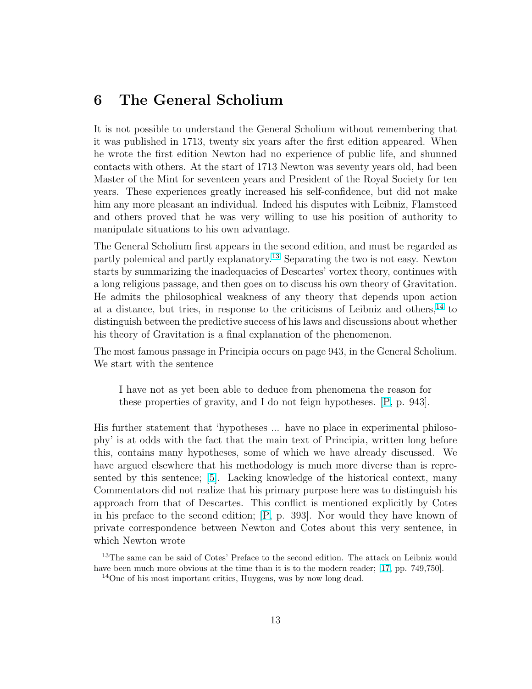#### 6 The General Scholium

It is not possible to understand the General Scholium without remembering that it was published in 1713, twenty six years after the first edition appeared. When he wrote the first edition Newton had no experience of public life, and shunned contacts with others. At the start of 1713 Newton was seventy years old, had been Master of the Mint for seventeen years and President of the Royal Society for ten years. These experiences greatly increased his self-confidence, but did not make him any more pleasant an individual. Indeed his disputes with Leibniz, Flamsteed and others proved that he was very willing to use his position of authority to manipulate situations to his own advantage.

The General Scholium first appears in the second edition, and must be regarded as partly polemical and partly explanatory.<sup>13</sup> Separating the two is not easy. Newton starts by summarizing the inadequacies of Descartes' vortex theory, continues with a long religious passage, and then goes on to discuss his own theory of Gravitation. He admits the philosophical weakness of any theory that depends upon action at a distance, but tries, in response to the criticisms of Leibniz and others,  $^{14}$  to distinguish between the predictive success of his laws and discussions about whether his theory of Gravitation is a final explanation of the phenomenon.

The most famous passage in Principia occurs on page 943, in the General Scholium. We start with the sentence

I have not as yet been able to deduce from phenomena the reason for these properties of gravity, and I do not feign hypotheses. [\[P,](#page-16-0) p. 943].

His further statement that 'hypotheses ... have no place in experimental philosophy' is at odds with the fact that the main text of Principia, written long before this, contains many hypotheses, some of which we have already discussed. We have argued elsewhere that his methodology is much more diverse than is represented by this sentence; [\[5\]](#page-15-0). Lacking knowledge of the historical context, many Commentators did not realize that his primary purpose here was to distinguish his approach from that of Descartes. This conflict is mentioned explicitly by Cotes in his preface to the second edition; [\[P,](#page-16-0) p. 393]. Nor would they have known of private correspondence between Newton and Cotes about this very sentence, in which Newton wrote

<sup>&</sup>lt;sup>13</sup>The same can be said of Cotes' Preface to the second edition. The attack on Leibniz would have been much more obvious at the time than it is to the modern reader; [\[17,](#page-16-0) pp. 749,750].

<sup>14</sup>One of his most important critics, Huygens, was by now long dead.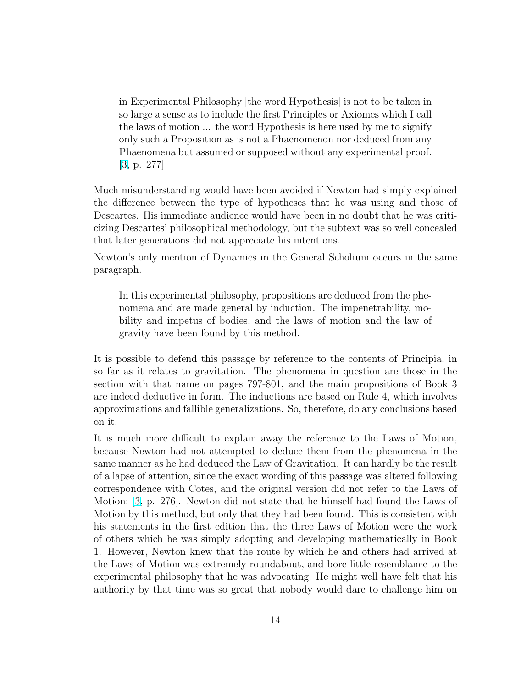in Experimental Philosophy [the word Hypothesis] is not to be taken in so large a sense as to include the first Principles or Axiomes which I call the laws of motion ... the word Hypothesis is here used by me to signify only such a Proposition as is not a Phaenomenon nor deduced from any Phaenomena but assumed or supposed without any experimental proof. [\[3,](#page-15-0) p. 277]

Much misunderstanding would have been avoided if Newton had simply explained the difference between the type of hypotheses that he was using and those of Descartes. His immediate audience would have been in no doubt that he was criticizing Descartes' philosophical methodology, but the subtext was so well concealed that later generations did not appreciate his intentions.

Newton's only mention of Dynamics in the General Scholium occurs in the same paragraph.

In this experimental philosophy, propositions are deduced from the phenomena and are made general by induction. The impenetrability, mobility and impetus of bodies, and the laws of motion and the law of gravity have been found by this method.

It is possible to defend this passage by reference to the contents of Principia, in so far as it relates to gravitation. The phenomena in question are those in the section with that name on pages 797-801, and the main propositions of Book 3 are indeed deductive in form. The inductions are based on Rule 4, which involves approximations and fallible generalizations. So, therefore, do any conclusions based on it.

It is much more difficult to explain away the reference to the Laws of Motion, because Newton had not attempted to deduce them from the phenomena in the same manner as he had deduced the Law of Gravitation. It can hardly be the result of a lapse of attention, since the exact wording of this passage was altered following correspondence with Cotes, and the original version did not refer to the Laws of Motion; [\[3,](#page-15-0) p. 276]. Newton did not state that he himself had found the Laws of Motion by this method, but only that they had been found. This is consistent with his statements in the first edition that the three Laws of Motion were the work of others which he was simply adopting and developing mathematically in Book 1. However, Newton knew that the route by which he and others had arrived at the Laws of Motion was extremely roundabout, and bore little resemblance to the experimental philosophy that he was advocating. He might well have felt that his authority by that time was so great that nobody would dare to challenge him on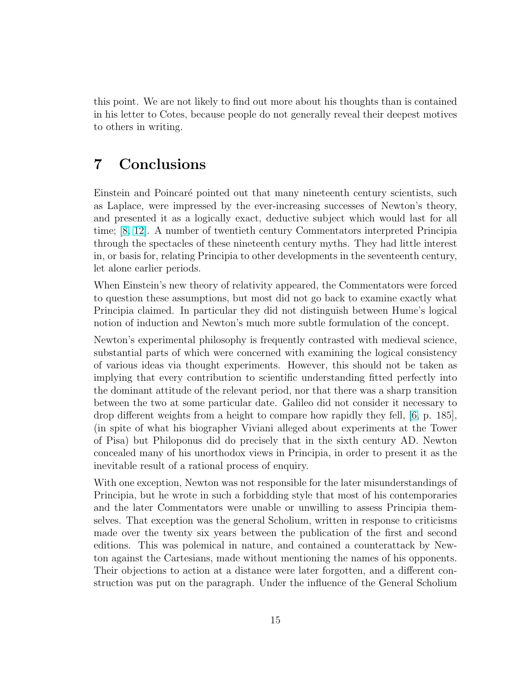this point. We are not likely to find out more about his thoughts than is contained in his letter to Cotes, because people do not generally reveal their deepest motives to others in writing.

### 7 Conclusions

Einstein and Poincaré pointed out that many nineteenth century scientists, such as Laplace, were impressed by the ever-increasing successes of Newton's theory, and presented it as a logically exact, deductive subject which would last for all time; [\[8,](#page-15-0) [12\]](#page-16-0). A number of twentieth century Commentators interpreted Principia through the spectacles of these nineteenth century myths. They had little interest in, or basis for, relating Principia to other developments in the seventeenth century, let alone earlier periods.

When Einstein's new theory of relativity appeared, the Commentators were forced to question these assumptions, but most did not go back to examine exactly what Principia claimed. In particular they did not distinguish between Hume's logical notion of induction and Newton's much more subtle formulation of the concept.

Newton's experimental philosophy is frequently contrasted with medieval science, substantial parts of which were concerned with examining the logical consistency of various ideas via thought experiments. However, this should not be taken as implying that every contribution to scientific understanding fitted perfectly into the dominant attitude of the relevant period, nor that there was a sharp transition between the two at some particular date. Galileo did not consider it necessary to drop different weights from a height to compare how rapidly they fell, [\[6,](#page-15-0) p. 185], (in spite of what his biographer Viviani alleged about experiments at the Tower of Pisa) but Philoponus did do precisely that in the sixth century AD. Newton concealed many of his unorthodox views in Principia, in order to present it as the inevitable result of a rational process of enquiry.

With one exception, Newton was not responsible for the later misunderstandings of Principia, but he wrote in such a forbidding style that most of his contemporaries and the later Commentators were unable or unwilling to assess Principia themselves. That exception was the general Scholium, written in response to criticisms made over the twenty six years between the publication of the first and second editions. This was polemical in nature, and contained a counterattack by Newton against the Cartesians, made without mentioning the names of his opponents. Their objections to action at a distance were later forgotten, and a different construction was put on the paragraph. Under the influence of the General Scholium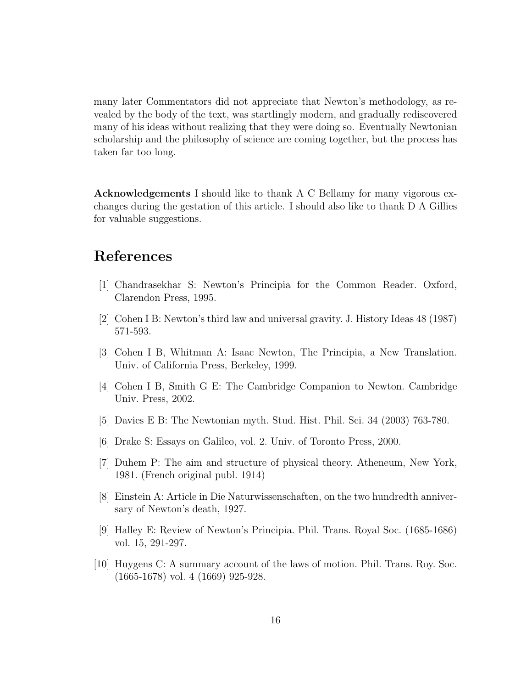<span id="page-15-0"></span>many later Commentators did not appreciate that Newton's methodology, as revealed by the body of the text, was startlingly modern, and gradually rediscovered many of his ideas without realizing that they were doing so. Eventually Newtonian scholarship and the philosophy of science are coming together, but the process has taken far too long.

Acknowledgements I should like to thank A C Bellamy for many vigorous exchanges during the gestation of this article. I should also like to thank D A Gillies for valuable suggestions.

## References

- [1] Chandrasekhar S: Newton's Principia for the Common Reader. Oxford, Clarendon Press, 1995.
- [2] Cohen I B: Newton's third law and universal gravity. J. History Ideas 48 (1987) 571-593.
- [3] Cohen I B, Whitman A: Isaac Newton, The Principia, a New Translation. Univ. of California Press, Berkeley, 1999.
- [4] Cohen I B, Smith G E: The Cambridge Companion to Newton. Cambridge Univ. Press, 2002.
- [5] Davies E B: The Newtonian myth. Stud. Hist. Phil. Sci. 34 (2003) 763-780.
- [6] Drake S: Essays on Galileo, vol. 2. Univ. of Toronto Press, 2000.
- [7] Duhem P: The aim and structure of physical theory. Atheneum, New York, 1981. (French original publ. 1914)
- [8] Einstein A: Article in Die Naturwissenschaften, on the two hundredth anniversary of Newton's death, 1927.
- [9] Halley E: Review of Newton's Principia. Phil. Trans. Royal Soc. (1685-1686) vol. 15, 291-297.
- [10] Huygens C: A summary account of the laws of motion. Phil. Trans. Roy. Soc. (1665-1678) vol. 4 (1669) 925-928.